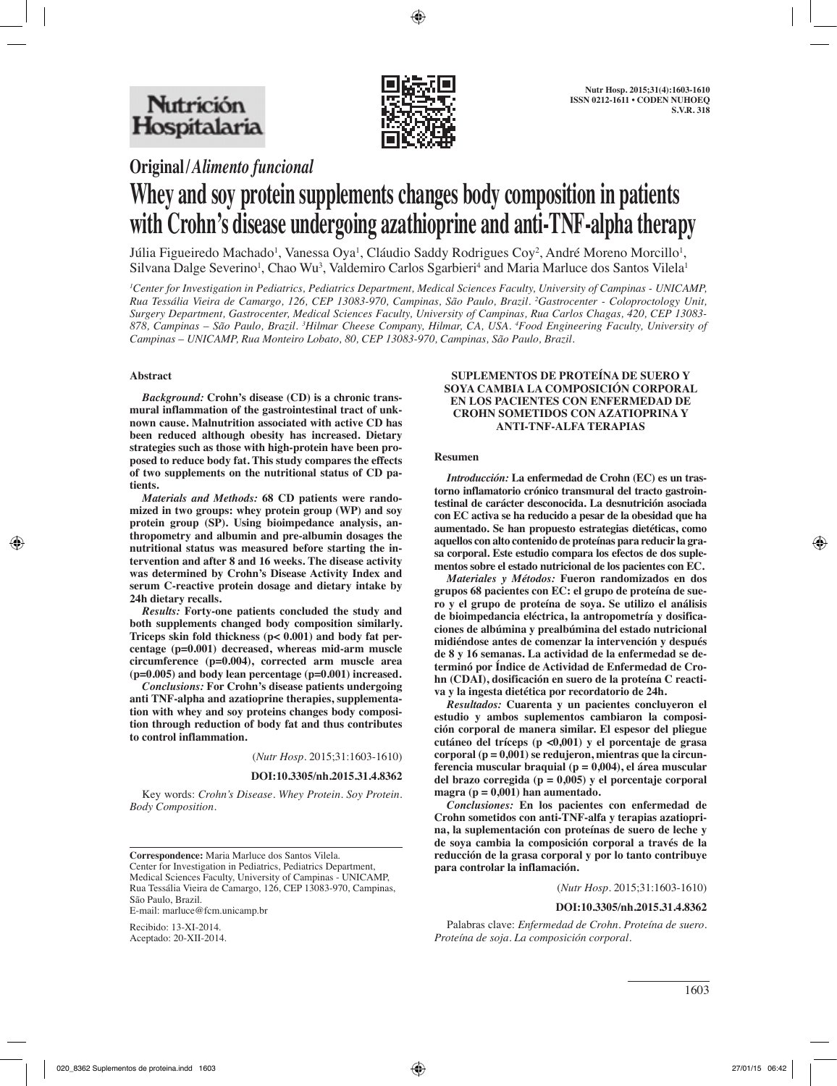

**Original/***Alimento funcional*

# **Whey and soy protein supplements changes body composition in patients with Crohn's disease undergoing azathioprine and anti-TNF-alpha therapy**

Júlia Figueiredo Machado<sup>1</sup>, Vanessa Oya<sup>1</sup>, Cláudio Saddy Rodrigues Coy<sup>2</sup>, André Moreno Morcillo<sup>1</sup>, Silvana Dalge Severino<sup>1</sup>, Chao Wu<sup>3</sup>, Valdemiro Carlos Sgarbieri<sup>4</sup> and Maria Marluce dos Santos Vilela<sup>1</sup>

*1 Center for Investigation in Pediatrics, Pediatrics Department, Medical Sciences Faculty, University of Campinas - UNICAMP, Rua Tessália Vieira de Camargo, 126, CEP 13083-970, Campinas, São Paulo, Brazil. 2 Gastrocenter - Coloproctology Unit, Surgery Department, Gastrocenter, Medical Sciences Faculty, University of Campinas, Rua Carlos Chagas, 420, CEP 13083- 878, Campinas – São Paulo, Brazil. 3 Hilmar Cheese Company, Hilmar, CA, USA. 4 Food Engineering Faculty, University of Campinas – UNICAMP, Rua Monteiro Lobato, 80, CEP 13083-970, Campinas, São Paulo, Brazil.*

# **Abstract**

*Background:* **Crohn's disease (CD) is a chronic transmural inflammation of the gastrointestinal tract of unknown cause. Malnutrition associated with active CD has been reduced although obesity has increased. Dietary strategies such as those with high-protein have been proposed to reduce body fat. This study compares the effects of two supplements on the nutritional status of CD patients.**

*Materials and Methods:* **68 CD patients were randomized in two groups: whey protein group (WP) and soy protein group (SP). Using bioimpedance analysis, anthropometry and albumin and pre-albumin dosages the nutritional status was measured before starting the intervention and after 8 and 16 weeks. The disease activity was determined by Crohn's Disease Activity Index and serum C-reactive protein dosage and dietary intake by 24h dietary recalls.**

*Results:* **Forty-one patients concluded the study and both supplements changed body composition similarly. Triceps skin fold thickness (p< 0.001) and body fat percentage (p=0.001) decreased, whereas mid-arm muscle circumference (p=0.004), corrected arm muscle area (p=0.005) and body lean percentage (p=0.001) increased.**

*Conclusions:* **For Crohn's disease patients undergoing anti TNF-alpha and azatioprine therapies, supplementation with whey and soy proteins changes body composition through reduction of body fat and thus contributes to control inflammation.**

(*Nutr Hosp.* 2015;31:1603-1610)

#### **DOI:10.3305/nh.2015.31.4.8362**

Key words: *Crohn's Disease. Whey Protein. Soy Protein. Body Composition.*

**Correspondence:** Maria Marluce dos Santos Vilela. Center for Investigation in Pediatrics, Pediatrics Department, Medical Sciences Faculty, University of Campinas - UNICAMP, Rua Tessália Vieira de Camargo, 126, CEP 13083-970, Campinas, São Paulo, Brazil. E-mail: marluce@fcm.unicamp.br

Recibido: 13-XI-2014. Aceptado: 20-XII-2014.

#### **SUPLEMENTOS DE PROTEÍNA DE SUERO Y SOYA CAMBIA LA COMPOSICIÓN CORPORAL EN LOS PACIENTES CON ENFERMEDAD DE CROHN SOMETIDOS CON AZATIOPRINA Y ANTI-TNF-ALFA TERAPIAS**

#### **Resumen**

*Introducción:* **La enfermedad de Crohn (EC) es un trastorno inflamatorio crónico transmural del tracto gastrointestinal de carácter desconocida. La desnutrición asociada con EC activa se ha reducido a pesar de la obesidad que ha aumentado. Se han propuesto estrategias dietéticas, como aquellos con alto contenido de proteínas para reducir la grasa corporal. Este estudio compara los efectos de dos suplementos sobre el estado nutricional de los pacientes con EC.**

*Materiales y Métodos:* **Fueron randomizados en dos grupos 68 pacientes con EC: el grupo de proteína de suero y el grupo de proteína de soya. Se utilizo el análisis de bioimpedancia eléctrica, la antropometría y dosificaciones de albúmina y prealbúmina del estado nutricional midiéndose antes de comenzar la intervención y después de 8 y 16 semanas. La actividad de la enfermedad se determinó por Índice de Actividad de Enfermedad de Crohn (CDAI), dosificación en suero de la proteína C reactiva y la ingesta dietética por recordatorio de 24h.**

*Resultados:* **Cuarenta y un pacientes concluyeron el estudio y ambos suplementos cambiaron la composición corporal de manera similar. El espesor del pliegue cutáneo del tríceps (p <0,001) y el porcentaje de grasa corporal (p = 0,001) se redujeron, mientras que la circunferencia muscular braquial (p = 0,004), el área muscular del brazo corregida (p = 0,005) y el porcentaje corporal magra (p = 0,001) han aumentado.**

*Conclusiones:* **En los pacientes con enfermedad de Crohn sometidos con anti-TNF-alfa y terapias azatioprina, la suplementación con proteínas de suero de leche y de soya cambia la composición corporal a través de la reducción de la grasa corporal y por lo tanto contribuye para controlar la inflamación.**

(*Nutr Hosp.* 2015;31:1603-1610)

## **DOI:10.3305/nh.2015.31.4.8362**

Palabras clave: *Enfermedad de Crohn. Proteína de suero. Proteína de soja. La composición corporal.*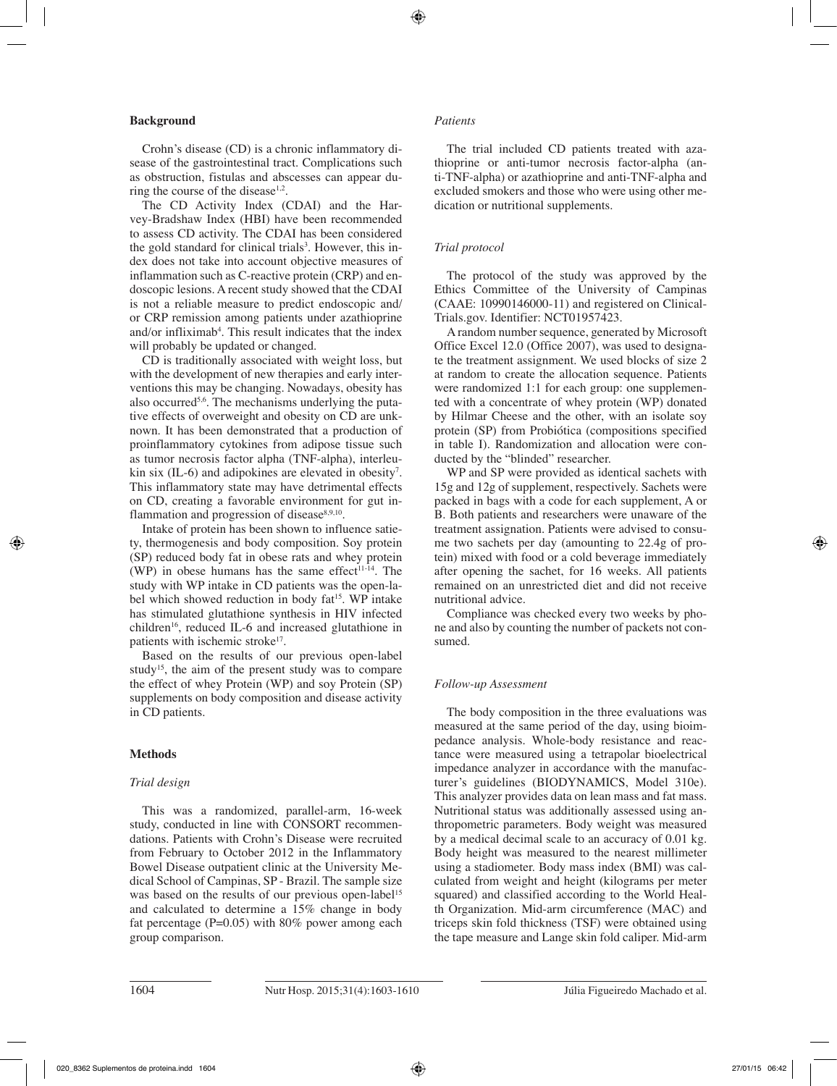## **Background**

Crohn's disease (CD) is a chronic inflammatory disease of the gastrointestinal tract. Complications such as obstruction, fistulas and abscesses can appear during the course of the disease<sup>1,2</sup>.

The CD Activity Index (CDAI) and the Harvey-Bradshaw Index (HBI) have been recommended to assess CD activity. The CDAI has been considered the gold standard for clinical trials<sup>3</sup>. However, this index does not take into account objective measures of inflammation such as C-reactive protein (CRP) and endoscopic lesions. A recent study showed that the CDAI is not a reliable measure to predict endoscopic and/ or CRP remission among patients under azathioprine and/or infliximab<sup>4</sup>. This result indicates that the index will probably be updated or changed.

CD is traditionally associated with weight loss, but with the development of new therapies and early interventions this may be changing. Nowadays, obesity has also occurred<sup>5,6</sup>. The mechanisms underlying the putative effects of overweight and obesity on CD are unknown. It has been demonstrated that a production of proinflammatory cytokines from adipose tissue such as tumor necrosis factor alpha (TNF-alpha), interleukin six (IL-6) and adipokines are elevated in obesity<sup>7</sup>. This inflammatory state may have detrimental effects on CD, creating a favorable environment for gut inflammation and progression of disease $8,9,10$ .

Intake of protein has been shown to influence satiety, thermogenesis and body composition. Soy protein (SP) reduced body fat in obese rats and whey protein (WP) in obese humans has the same effect<sup>11-14</sup>. The study with WP intake in CD patients was the open-label which showed reduction in body fat<sup>15</sup>. WP intake has stimulated glutathione synthesis in HIV infected children<sup>16</sup>, reduced IL-6 and increased glutathione in patients with ischemic stroke<sup>17</sup>.

Based on the results of our previous open-label study<sup>15</sup>, the aim of the present study was to compare the effect of whey Protein (WP) and soy Protein (SP) supplements on body composition and disease activity in CD patients.

# **Methods**

# *Trial design*

This was a randomized, parallel-arm, 16-week study, conducted in line with CONSORT recommendations. Patients with Crohn's Disease were recruited from February to October 2012 in the Inflammatory Bowel Disease outpatient clinic at the University Medical School of Campinas, SP - Brazil. The sample size was based on the results of our previous open-label<sup>15</sup> and calculated to determine a 15% change in body fat percentage ( $P=0.05$ ) with 80% power among each group comparison.

## *Patients*

The trial included CD patients treated with azathioprine or anti-tumor necrosis factor-alpha (anti-TNF-alpha) or azathioprine and anti-TNF-alpha and excluded smokers and those who were using other medication or nutritional supplements.

## *Trial protocol*

The protocol of the study was approved by the Ethics Committee of the University of Campinas (CAAE: 10990146000-11) and registered on Clinical-Trials.gov. Identifier: NCT01957423.

A random number sequence, generated by Microsoft Office Excel 12.0 (Office 2007), was used to designate the treatment assignment. We used blocks of size 2 at random to create the allocation sequence. Patients were randomized 1:1 for each group: one supplemented with a concentrate of whey protein (WP) donated by Hilmar Cheese and the other, with an isolate soy protein (SP) from Probiótica (compositions specified in table I). Randomization and allocation were conducted by the "blinded" researcher.

WP and SP were provided as identical sachets with 15g and 12g of supplement, respectively. Sachets were packed in bags with a code for each supplement, A or B. Both patients and researchers were unaware of the treatment assignation. Patients were advised to consume two sachets per day (amounting to 22.4g of protein) mixed with food or a cold beverage immediately after opening the sachet, for 16 weeks. All patients remained on an unrestricted diet and did not receive nutritional advice.

Compliance was checked every two weeks by phone and also by counting the number of packets not consumed.

## *Follow-up Assessment*

The body composition in the three evaluations was measured at the same period of the day, using bioimpedance analysis. Whole-body resistance and reactance were measured using a tetrapolar bioelectrical impedance analyzer in accordance with the manufacturer's guidelines (BIODYNAMICS, Model 310e). This analyzer provides data on lean mass and fat mass. Nutritional status was additionally assessed using anthropometric parameters. Body weight was measured by a medical decimal scale to an accuracy of 0.01 kg. Body height was measured to the nearest millimeter using a stadiometer. Body mass index (BMI) was calculated from weight and height (kilograms per meter squared) and classified according to the World Health Organization. Mid-arm circumference (MAC) and triceps skin fold thickness (TSF) were obtained using the tape measure and Lange skin fold caliper. Mid-arm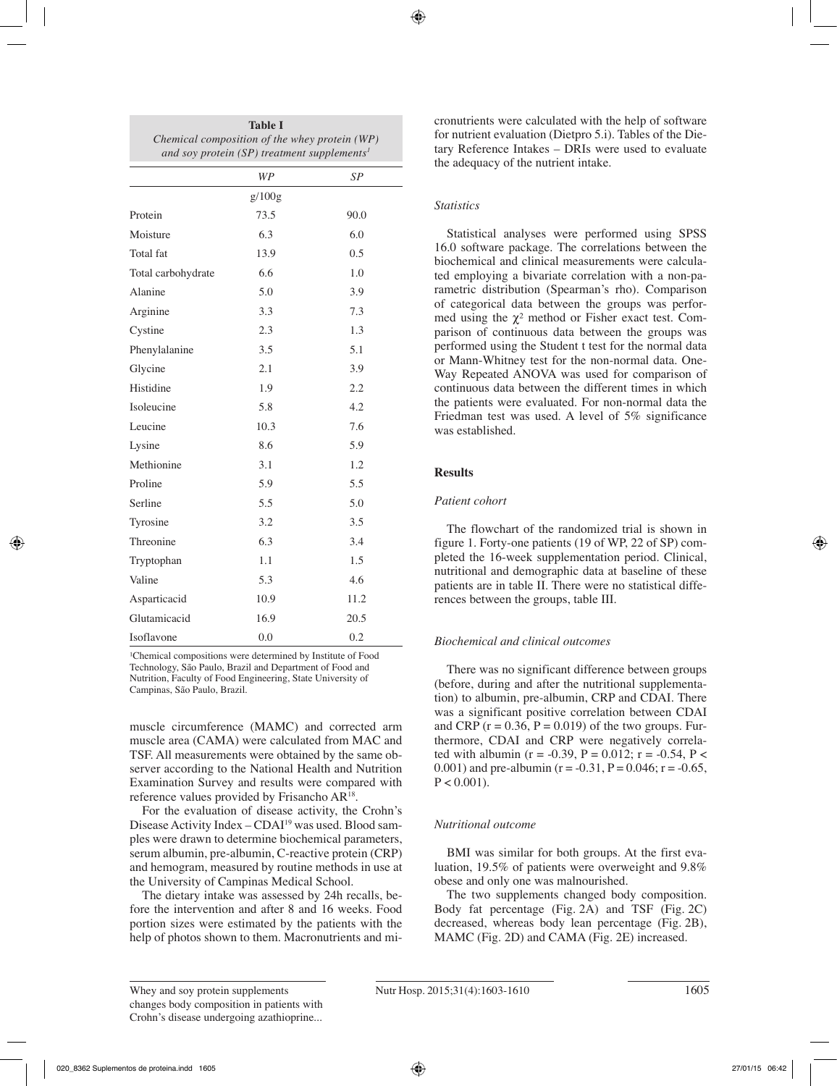| <b>Table I</b>                                          |  |  |  |  |
|---------------------------------------------------------|--|--|--|--|
| Chemical composition of the whey protein (WP)           |  |  |  |  |
| and soy protein (SP) treatment supplements <sup>1</sup> |  |  |  |  |

|                    | WP     | SP   |
|--------------------|--------|------|
|                    | g/100g |      |
| Protein            | 73.5   | 90.0 |
| Moisture           | 6.3    | 6.0  |
| Total fat          | 13.9   | 0.5  |
| Total carbohydrate | 6.6    | 1.0  |
| Alanine            | 5.0    | 3.9  |
| Arginine           | 3.3    | 7.3  |
| Cystine            | 2.3    | 1.3  |
| Phenylalanine      | 3.5    | 5.1  |
| Glycine            | 2.1    | 3.9  |
| Histidine          | 1.9    | 2.2  |
| Isoleucine         | 5.8    | 4.2  |
| Leucine            | 10.3   | 7.6  |
| Lysine             | 8.6    | 5.9  |
| Methionine         | 3.1    | 1.2  |
| Proline            | 5.9    | 5.5  |
| Serline            | 5.5    | 5.0  |
| Tyrosine           | 3.2    | 3.5  |
| Threonine          | 6.3    | 3.4  |
| Tryptophan         | 1.1    | 1.5  |
| Valine             | 5.3    | 4.6  |
| Asparticacid       | 10.9   | 11.2 |
| Glutamicacid       | 16.9   | 20.5 |
| Isoflavone         | 0.0    | 0.2  |

<sup>1</sup>Chemical compositions were determined by Institute of Food Technology, São Paulo, Brazil and Department of Food and Nutrition, Faculty of Food Engineering, State University of Campinas, São Paulo, Brazil.

muscle circumference (MAMC) and corrected arm muscle area (CAMA) were calculated from MAC and TSF. All measurements were obtained by the same observer according to the National Health and Nutrition Examination Survey and results were compared with reference values provided by Frisancho AR18.

For the evaluation of disease activity, the Crohn's Disease Activity Index - CDAI<sup>19</sup> was used. Blood samples were drawn to determine biochemical parameters, serum albumin, pre-albumin, C-reactive protein (CRP) and hemogram, measured by routine methods in use at the University of Campinas Medical School.

The dietary intake was assessed by 24h recalls, before the intervention and after 8 and 16 weeks. Food portion sizes were estimated by the patients with the help of photos shown to them. Macronutrients and micronutrients were calculated with the help of software for nutrient evaluation (Dietpro 5.i). Tables of the Dietary Reference Intakes – DRIs were used to evaluate the adequacy of the nutrient intake.

# *Statistics*

Statistical analyses were performed using SPSS 16.0 software package. The correlations between the biochemical and clinical measurements were calculated employing a bivariate correlation with a non-parametric distribution (Spearman's rho). Comparison of categorical data between the groups was performed using the  $\chi^2$  method or Fisher exact test. Comparison of continuous data between the groups was performed using the Student t test for the normal data or Mann-Whitney test for the non-normal data. One-Way Repeated ANOVA was used for comparison of continuous data between the different times in which the patients were evaluated. For non-normal data the Friedman test was used. A level of 5% significance was established.

# **Results**

# *Patient cohort*

The flowchart of the randomized trial is shown in figure 1. Forty-one patients (19 of WP, 22 of SP) completed the 16-week supplementation period. Clinical, nutritional and demographic data at baseline of these patients are in table II. There were no statistical differences between the groups, table III.

# *Biochemical and clinical outcomes*

There was no significant difference between groups (before, during and after the nutritional supplementation) to albumin, pre-albumin, CRP and CDAI. There was a significant positive correlation between CDAI and CRP ( $r = 0.36$ ,  $P = 0.019$ ) of the two groups. Furthermore, CDAI and CRP were negatively correlated with albumin (r = -0.39, P = 0.012; r = -0.54, P < 0.001) and pre-albumin ( $r = -0.31$ ,  $P = 0.046$ ;  $r = -0.65$ ,  $P < 0.001$ ).

# *Nutritional outcome*

BMI was similar for both groups. At the first evaluation, 19.5% of patients were overweight and 9.8% obese and only one was malnourished.

The two supplements changed body composition. Body fat percentage (Fig. 2A) and TSF (Fig. 2C) decreased, whereas body lean percentage (Fig. 2B), MAMC (Fig. 2D) and CAMA (Fig. 2E) increased.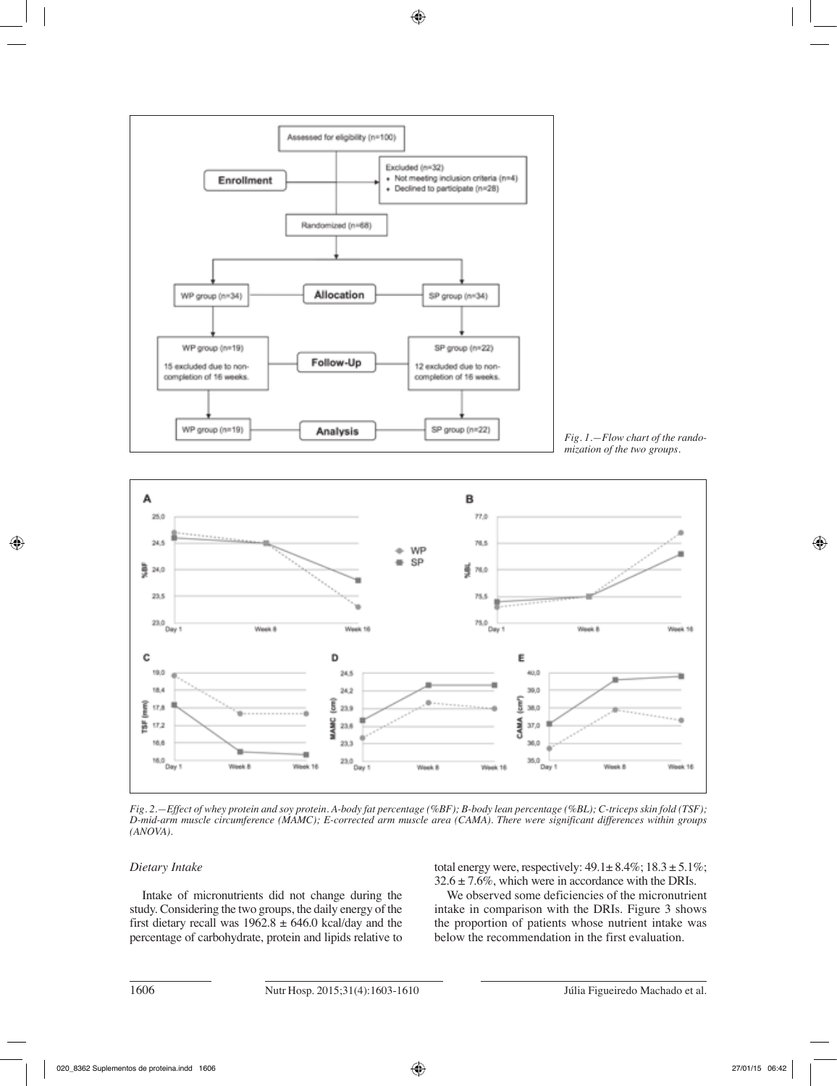

*Fig. 1.—Flow chart of the randomization of the two groups.*



*Fig. 2.—Effect of whey protein and soy protein. A-body fat percentage (%BF); B-body lean percentage (%BL); C-triceps skin fold (TSF); D-mid-arm muscle circumference (MAMC); E-corrected arm muscle area (CAMA). There were significant differences within groups (ANOVA).*

# *Dietary Intake*

Intake of micronutrients did not change during the study. Considering the two groups, the daily energy of the first dietary recall was  $1962.8 \pm 646.0$  kcal/day and the percentage of carbohydrate, protein and lipids relative to total energy were, respectively:  $49.1 \pm 8.4\%$ ;  $18.3 \pm 5.1\%$ ;  $32.6 \pm 7.6\%$ , which were in accordance with the DRIs.

We observed some deficiencies of the micronutrient intake in comparison with the DRIs. Figure 3 shows the proportion of patients whose nutrient intake was below the recommendation in the first evaluation.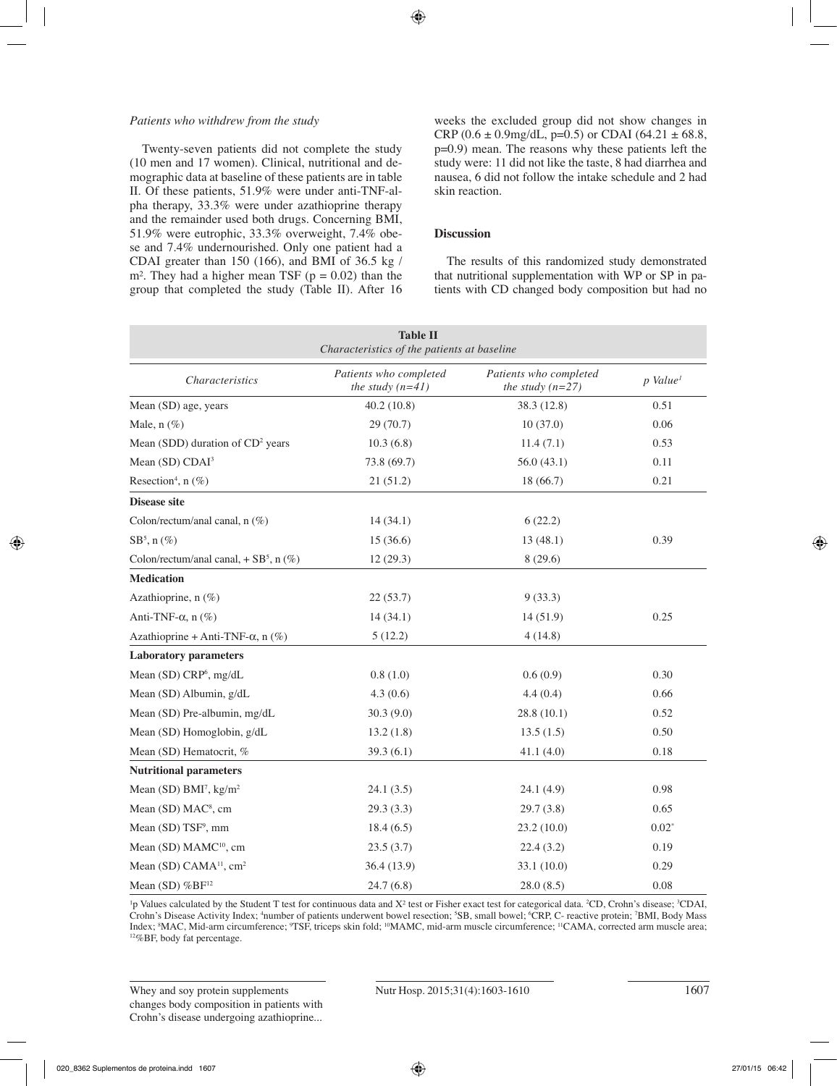## *Patients who withdrew from the study*

Twenty-seven patients did not complete the study (10 men and 17 women). Clinical, nutritional and demographic data at baseline of these patients are in table II. Of these patients, 51.9% were under anti-TNF-alpha therapy, 33.3% were under azathioprine therapy and the remainder used both drugs. Concerning BMI, 51.9% were eutrophic, 33.3% overweight, 7.4% obese and 7.4% undernourished. Only one patient had a CDAI greater than 150 (166), and BMI of 36.5 kg / m<sup>2</sup>. They had a higher mean TSF ( $p = 0.02$ ) than the group that completed the study (Table II). After 16 weeks the excluded group did not show changes in CRP (0.6  $\pm$  0.9mg/dL, p=0.5) or CDAI (64.21  $\pm$  68.8, p=0.9) mean. The reasons why these patients left the study were: 11 did not like the taste, 8 had diarrhea and nausea, 6 did not follow the intake schedule and 2 had skin reaction.

# **Discussion**

The results of this randomized study demonstrated that nutritional supplementation with WP or SP in patients with CD changed body composition but had no

| <b>Table II</b><br>Characteristics of the patients at baseline |                                              |                                              |                        |  |  |
|----------------------------------------------------------------|----------------------------------------------|----------------------------------------------|------------------------|--|--|
| <b>Characteristics</b>                                         | Patients who completed<br>the study $(n=41)$ | Patients who completed<br>the study $(n=27)$ | $p$ Value <sup>1</sup> |  |  |
| Mean (SD) age, years                                           | 40.2(10.8)                                   | 38.3 (12.8)                                  | 0.51                   |  |  |
| Male, $n$ (%)                                                  | 29 (70.7)                                    | 10(37.0)                                     | 0.06                   |  |  |
| Mean (SDD) duration of CD <sup>2</sup> years                   | 10.3(6.8)                                    | 11.4(7.1)                                    | 0.53                   |  |  |
| Mean (SD) CDAI <sup>3</sup>                                    | 73.8 (69.7)                                  | 56.0(43.1)                                   | 0.11                   |  |  |
| Resection <sup>4</sup> , n $(\%)$                              | 21(51.2)                                     | 18 (66.7)                                    | 0.21                   |  |  |
| <b>Disease site</b>                                            |                                              |                                              |                        |  |  |
| Colon/rectum/anal canal, n (%)                                 | 14(34.1)                                     | 6(22.2)                                      |                        |  |  |
| $SB^5$ , n $(\%)$                                              | 15(36.6)                                     | 13(48.1)                                     | 0.39                   |  |  |
| Colon/rectum/anal canal, $+$ SB <sup>5</sup> , n $(\%)$        | 12(29.3)                                     | 8(29.6)                                      |                        |  |  |
| <b>Medication</b>                                              |                                              |                                              |                        |  |  |
| Azathioprine, n (%)                                            | 22(53.7)                                     | 9(33.3)                                      |                        |  |  |
| Anti-TNF- $\alpha$ , n $(\%)$                                  | 14(34.1)                                     | 14(51.9)                                     | 0.25                   |  |  |
| Azathioprine + Anti-TNF- $\alpha$ , n (%)                      | 5(12.2)                                      | 4(14.8)                                      |                        |  |  |
| <b>Laboratory parameters</b>                                   |                                              |                                              |                        |  |  |
| Mean (SD) CRP <sup>6</sup> , mg/dL                             | 0.8(1.0)                                     | 0.6(0.9)                                     | 0.30                   |  |  |
| Mean (SD) Albumin, g/dL                                        | 4.3(0.6)                                     | 4.4(0.4)                                     | 0.66                   |  |  |
| Mean (SD) Pre-albumin, mg/dL                                   | 30.3(9.0)                                    | 28.8(10.1)                                   | 0.52                   |  |  |
| Mean (SD) Homoglobin, g/dL                                     | 13.2(1.8)                                    | 13.5(1.5)                                    | 0.50                   |  |  |
| Mean (SD) Hematocrit, %                                        | 39.3(6.1)                                    | 41.1(4.0)                                    | 0.18                   |  |  |
| <b>Nutritional parameters</b>                                  |                                              |                                              |                        |  |  |
| Mean (SD) BMI <sup>7</sup> , kg/m <sup>2</sup>                 | 24.1(3.5)                                    | 24.1(4.9)                                    | 0.98                   |  |  |
| Mean (SD) MAC <sup>8</sup> , cm                                | 29.3(3.3)                                    | 29.7(3.8)                                    | 0.65                   |  |  |
| Mean (SD) TSF <sup>9</sup> , mm                                | 18.4(6.5)                                    | 23.2(10.0)                                   | $0.02*$                |  |  |
| Mean (SD) MAMC <sup>10</sup> , cm                              | 23.5(3.7)                                    | 22.4(3.2)                                    | 0.19                   |  |  |
| Mean (SD) CAMA <sup>11</sup> , cm <sup>2</sup>                 | 36.4 (13.9)                                  | 33.1 (10.0)                                  | 0.29                   |  |  |
| Mean (SD) %BF <sup>12</sup>                                    | 24.7(6.8)                                    | 28.0(8.5)                                    | 0.08                   |  |  |

<sup>1</sup>p Values calculated by the Student T test for continuous data and X<sup>2</sup> test or Fisher exact test for categorical data. <sup>2</sup>CD, Crohn's disease; <sup>3</sup>CDAI, Crohn's Disease Activity Index; <sup>4</sup>number of patients underwent bowel resection; <sup>5</sup>SB, small bowel; <sup>6</sup>CRP, C- reactive protein; <sup>7</sup>BMI, Body Mass Index; <sup>8</sup>MAC, Mid-arm circumference; <sup>9</sup>TSF, triceps skin fold; <sup>10</sup>MAMC, mid-arm muscle circumference; <sup>11</sup>CAMA, corrected arm muscle area;<br><sup>12</sup>%BF, body fat percentage.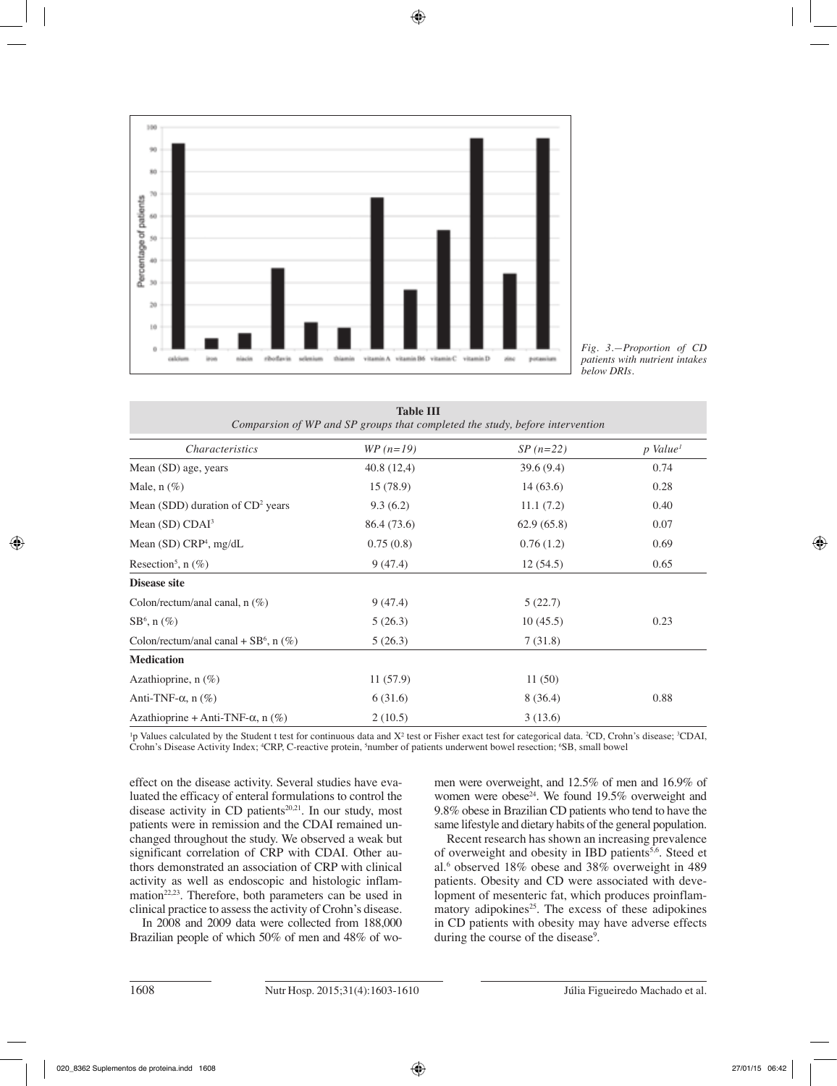

*Fig. 3.—Proportion of CD patients with nutrient intakes below DRIs.*

| <b>Table III</b><br>Comparsion of WP and SP groups that completed the study, before intervention |             |            |                      |  |  |
|--------------------------------------------------------------------------------------------------|-------------|------------|----------------------|--|--|
| <i>Characteristics</i>                                                                           | $WP (n=19)$ | $SP(n=22)$ | p Value <sup>1</sup> |  |  |
| Mean (SD) age, years                                                                             | 40.8(12,4)  | 39.6(9.4)  | 0.74                 |  |  |
| Male, $n$ $(\%)$                                                                                 | 15(78.9)    | 14(63.6)   | 0.28                 |  |  |
| Mean (SDD) duration of $CD2$ years                                                               | 9.3(6.2)    | 11.1(7.2)  | 0.40                 |  |  |
| Mean $(SD)$ CDAI <sup>3</sup>                                                                    | 86.4 (73.6) | 62.9(65.8) | 0.07                 |  |  |
| Mean $(SD)$ CRP <sup>4</sup> , mg/dL                                                             | 0.75(0.8)   | 0.76(1.2)  | 0.69                 |  |  |
| Resection <sup>5</sup> , n $(\%)$                                                                | 9(47.4)     | 12(54.5)   | 0.65                 |  |  |
| Disease site                                                                                     |             |            |                      |  |  |
| Colon/rectum/anal canal, $n$ (%)                                                                 | 9(47.4)     | 5(22.7)    |                      |  |  |
| $SB^6$ , n $(\%)$                                                                                | 5(26.3)     | 10(45.5)   | 0.23                 |  |  |
| Colon/rectum/anal canal + $SB^6$ , n $(\%)$                                                      | 5(26.3)     | 7(31.8)    |                      |  |  |
| <b>Medication</b>                                                                                |             |            |                      |  |  |
| Azathioprine, $n$ (%)                                                                            | 11(57.9)    | 11(50)     |                      |  |  |
| Anti-TNF- $\alpha$ , n $(\%)$                                                                    | 6(31.6)     | 8(36.4)    | 0.88                 |  |  |
| Azathioprine + Anti-TNF- $\alpha$ , n (%)                                                        | 2(10.5)     | 3(13.6)    |                      |  |  |

<sup>1</sup>p Values calculated by the Student t test for continuous data and X<sup>2</sup> test or Fisher exact test for categorical data. <sup>2</sup>CD, Crohn's disease; <sup>3</sup>CDAI, Crohn's Disease Activity Index; <sup>4</sup>CRP, C-reactive protein, <sup>5</sup>number of patients underwent bowel resection; <sup>6</sup>SB, small bowel

effect on the disease activity. Several studies have evaluated the efficacy of enteral formulations to control the disease activity in CD patients<sup>20,21</sup>. In our study, most patients were in remission and the CDAI remained unchanged throughout the study. We observed a weak but significant correlation of CRP with CDAI. Other authors demonstrated an association of CRP with clinical activity as well as endoscopic and histologic inflammation<sup>22,23</sup>. Therefore, both parameters can be used in clinical practice to assess the activity of Crohn's disease.

In 2008 and 2009 data were collected from 188,000 Brazilian people of which 50% of men and 48% of women were overweight, and 12.5% of men and 16.9% of women were obese<sup>24</sup>. We found 19.5% overweight and 9.8% obese in Brazilian CD patients who tend to have the same lifestyle and dietary habits of the general population.

Recent research has shown an increasing prevalence of overweight and obesity in IBD patients<sup>5,6</sup>. Steed et al.6 observed 18% obese and 38% overweight in 489 patients. Obesity and CD were associated with development of mesenteric fat, which produces proinflammatory adipokines<sup>25</sup>. The excess of these adipokines in CD patients with obesity may have adverse effects during the course of the disease<sup>9</sup>.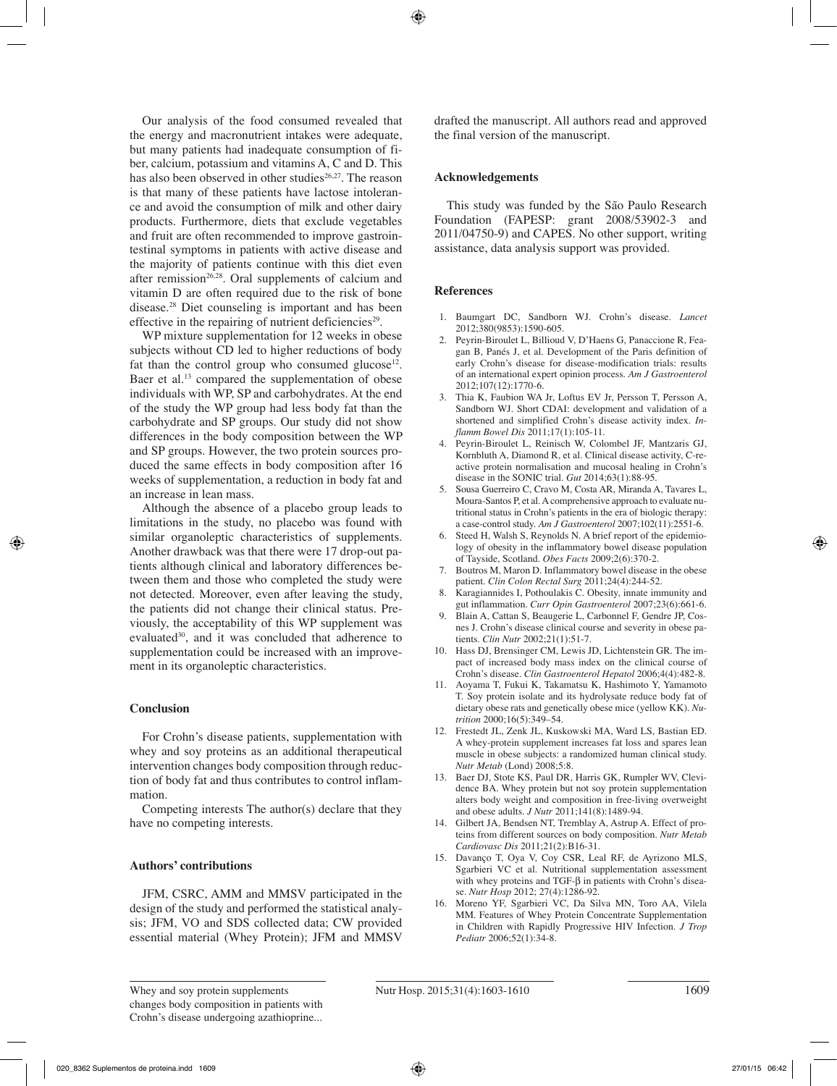Our analysis of the food consumed revealed that the energy and macronutrient intakes were adequate, but many patients had inadequate consumption of fiber, calcium, potassium and vitamins A, C and D. This has also been observed in other studies<sup>26,27</sup>. The reason is that many of these patients have lactose intolerance and avoid the consumption of milk and other dairy products. Furthermore, diets that exclude vegetables and fruit are often recommended to improve gastrointestinal symptoms in patients with active disease and the majority of patients continue with this diet even after remission $26,28$ . Oral supplements of calcium and vitamin D are often required due to the risk of bone disease.28 Diet counseling is important and has been effective in the repairing of nutrient deficiencies<sup>29</sup>.

WP mixture supplementation for 12 weeks in obese subjects without CD led to higher reductions of body fat than the control group who consumed glucose<sup>12</sup>. Baer et al.<sup>13</sup> compared the supplementation of obese individuals with WP, SP and carbohydrates. At the end of the study the WP group had less body fat than the carbohydrate and SP groups. Our study did not show differences in the body composition between the WP and SP groups. However, the two protein sources produced the same effects in body composition after 16 weeks of supplementation, a reduction in body fat and an increase in lean mass.

Although the absence of a placebo group leads to limitations in the study, no placebo was found with similar organoleptic characteristics of supplements. Another drawback was that there were 17 drop-out patients although clinical and laboratory differences between them and those who completed the study were not detected. Moreover, even after leaving the study, the patients did not change their clinical status. Previously, the acceptability of this WP supplement was evaluated<sup>30</sup>, and it was concluded that adherence to supplementation could be increased with an improvement in its organoleptic characteristics.

# **Conclusion**

For Crohn's disease patients, supplementation with whey and soy proteins as an additional therapeutical intervention changes body composition through reduction of body fat and thus contributes to control inflammation.

Competing interests The author(s) declare that they have no competing interests.

## **Authors' contributions**

JFM, CSRC, AMM and MMSV participated in the design of the study and performed the statistical analysis; JFM, VO and SDS collected data; CW provided essential material (Whey Protein); JFM and MMSV drafted the manuscript. All authors read and approved the final version of the manuscript.

## **Acknowledgements**

This study was funded by the São Paulo Research Foundation (FAPESP: grant 2008/53902-3 and 2011/04750-9) and CAPES. No other support, writing assistance, data analysis support was provided.

#### **References**

- 1. Baumgart DC, Sandborn WJ. Crohn's disease. *Lancet* 2012;380(9853):1590-605.
- 2. Peyrin-Biroulet L, Billioud V, D'Haens G, Panaccione R, Feagan B, Panés J, et al. Development of the Paris definition of early Crohn's disease for disease-modification trials: results of an international expert opinion process. *Am J Gastroenterol* 2012;107(12):1770-6.
- 3. Thia K, Faubion WA Jr, Loftus EV Jr, Persson T, Persson A, Sandborn WJ. Short CDAI: development and validation of a shortened and simplified Crohn's disease activity index. *Inflamm Bowel Dis* 2011;17(1):105-11.
- 4. Peyrin-Biroulet L, Reinisch W, Colombel JF, Mantzaris GJ, Kornbluth A, Diamond R, et al. Clinical disease activity, C-reactive protein normalisation and mucosal healing in Crohn's disease in the SONIC trial. *Gut* 2014;63(1):88-95.
- 5. Sousa Guerreiro C, Cravo M, Costa AR, Miranda A, Tavares L, Moura-Santos P, et al. A comprehensive approach to evaluate nutritional status in Crohn's patients in the era of biologic therapy: a case-control study. *Am J Gastroenterol* 2007;102(11):2551-6.
- 6. Steed H, Walsh S, Reynolds N. A brief report of the epidemiology of obesity in the inflammatory bowel disease population of Tayside, Scotland. *Obes Facts* 2009;2(6):370-2.
- 7. Boutros M, Maron D. Inflammatory bowel disease in the obese patient. *Clin Colon Rectal Surg* 2011;24(4):244-52.
- 8. Karagiannides I, Pothoulakis C. Obesity, innate immunity and gut inflammation. *Curr Opin Gastroenterol* 2007;23(6):661-6.
- 9. Blain A, Cattan S, Beaugerie L, Carbonnel F, Gendre JP, Cosnes J. Crohn's disease clinical course and severity in obese patients. *Clin Nutr* 2002;21(1):51-7.
- 10. Hass DJ, Brensinger CM, Lewis JD, Lichtenstein GR. The impact of increased body mass index on the clinical course of Crohn's disease. *Clin Gastroenterol Hepatol* 2006;4(4):482-8.
- 11. Aoyama T, Fukui K, Takamatsu K, Hashimoto Y, Yamamoto T. Soy protein isolate and its hydrolysate reduce body fat of dietary obese rats and genetically obese mice (yellow KK). *Nutrition* 2000;16(5):349–54.
- 12. Frestedt JL, Zenk JL, Kuskowski MA, Ward LS, Bastian ED. A whey-protein supplement increases fat loss and spares lean muscle in obese subjects: a randomized human clinical study. *Nutr Metab* (Lond) 2008;5:8.
- 13. Baer DJ, Stote KS, Paul DR, Harris GK, Rumpler WV, Clevidence BA. Whey protein but not soy protein supplementation alters body weight and composition in free-living overweight and obese adults. *J Nutr* 2011;141(8):1489-94.
- 14. Gilbert JA, Bendsen NT, Tremblay A, Astrup A. Effect of proteins from different sources on body composition. *Nutr Metab Cardiovasc Dis* 2011;21(2):B16-31.
- 15. Davanço T, Oya V, Coy CSR, Leal RF, de Ayrizono MLS, Sgarbieri VC et al. Nutritional supplementation assessment with whey proteins and TGF-β in patients with Crohn's disease. *Nutr Hosp* 2012; 27(4):1286-92.
- 16. Moreno YF, Sgarbieri VC, Da Silva MN, Toro AA, Vilela MM. Features of Whey Protein Concentrate Supplementation in Children with Rapidly Progressive HIV Infection. *J Trop Pediatr* 2006;52(1):34-8.